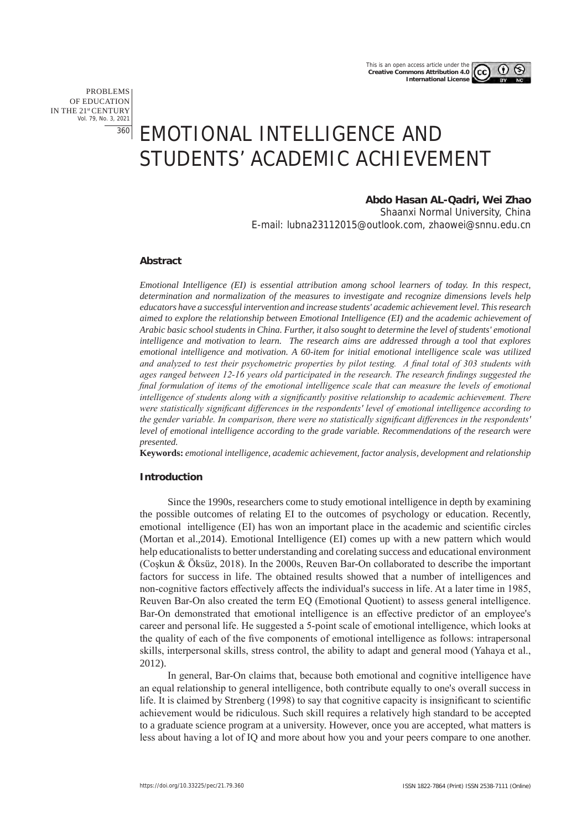PROBLEMS OF EDUCATION IN THE 21st CENTURY Vol. 79, No. 3, 2021 360

# EMOTIONAL INTELLIGENCE AND STUDENTS' ACADEMIC ACHIEVEMENT

# **Abdo Hasan AL-Qadri, Wei Zhao**

Shaanxi Normal University, China E-mail: lubna23112015@outlook.com, zhaowei@snnu.edu.cn

#### **Abstract**

*Emotional Intelligence (EI) is essential attribution among school learners of today. In this respect, determination and normalization of the measures to investigate and recognize dimensions levels help educators have a successful intervention and increase students' academic achievement level. This research aimed to explore the relationship between Emotional Intelligence (EI) and the academic achievement of Arabic basic school students in China. Further, it also sought to determine the level of students' emotional intelligence and motivation to learn. The research aims are addressed through a tool that explores emotional intelligence and motivation. A 60-item for initial emotional intelligence scale was utilized and analyzed to test their psychometric properties by pilot testing. A final total of 303 students with ages ranged between 12-16 years old participated in the research. The research findings suggested the final formulation of items of the emotional intelligence scale that can measure the levels of emotional intelligence of students along with a significantly positive relationship to academic achievement. There were statistically significant differences in the respondents' level of emotional intelligence according to the gender variable. In comparison, there were no statistically significant differences in the respondents' level of emotional intelligence according to the grade variable. Recommendations of the research were presented.*

**Keywords:** *emotional intelligence, academic achievement, factor analysis, development and relationship*

#### **Introduction**

Since the 1990s, researchers come to study emotional intelligence in depth by examining the possible outcomes of relating EI to the outcomes of psychology or education. Recently, emotional intelligence (EI) has won an important place in the academic and scientific circles (Mortan et al.,2014). Emotional Intelligence (EI) comes up with a new pattern which would help educationalists to better understanding and corelating success and educational environment (Coşkun & Öksüz, 2018). In the 2000s, Reuven Bar-On collaborated to describe the important factors for success in life. The obtained results showed that a number of intelligences and non-cognitive factors effectively affects the individual's success in life. At a later time in 1985, Reuven Bar-On also created the term EQ (Emotional Quotient) to assess general intelligence. Bar-On demonstrated that emotional intelligence is an effective predictor of an employee's career and personal life. He suggested a 5-point scale of emotional intelligence, which looks at the quality of each of the five components of emotional intelligence as follows: intrapersonal skills, interpersonal skills, stress control, the ability to adapt and general mood (Yahaya et al., 2012).

In general, Bar-On claims that, because both emotional and cognitive intelligence have an equal relationship to general intelligence, both contribute equally to one's overall success in life. It is claimed by Strenberg (1998) to say that cognitive capacity is insignificant to scientific achievement would be ridiculous. Such skill requires a relatively high standard to be accepted to a graduate science program at a university. However, once you are accepted, what matters is less about having a lot of IQ and more about how you and your peers compare to one another.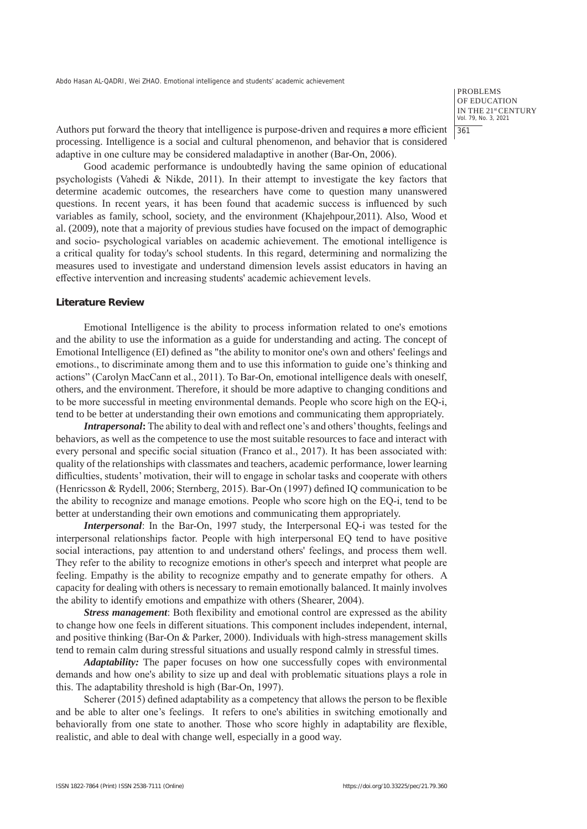PROBLEMS OF EDUCATION IN THE 21st CENTURY Vol. 79, No. 3, 2021 361

Authors put forward the theory that intelligence is purpose-driven and requires a more efficient processing. Intelligence is a social and cultural phenomenon, and behavior that is considered adaptive in one culture may be considered maladaptive in another (Bar-On, 2006).

Good academic performance is undoubtedly having the same opinion of educational psychologists (Vahedi & Nikde, 2011). In their attempt to investigate the key factors that determine academic outcomes, the researchers have come to question many unanswered questions. In recent years, it has been found that academic success is influenced by such variables as family, school, society, and the environment (Khajehpour,2011). Also, Wood et al. (2009), note that a majority of previous studies have focused on the impact of demographic and socio- psychological variables on academic achievement. The emotional intelligence is a critical quality for today's school students. In this regard, determining and normalizing the measures used to investigate and understand dimension levels assist educators in having an effective intervention and increasing students' academic achievement levels.

#### **Literature Review**

Emotional Intelligence is the ability to process information related to one's emotions and the ability to use the information as a guide for understanding and acting. The concept of Emotional Intelligence (EI) defined as "the ability to monitor one's own and others' feelings and emotions., to discriminate among them and to use this information to guide one's thinking and actions" (Carolyn MacCann et al., 2011). To Bar-On, emotional intelligence deals with oneself, others, and the environment. Therefore, it should be more adaptive to changing conditions and to be more successful in meeting environmental demands. People who score high on the EQ-i, tend to be better at understanding their own emotions and communicating them appropriately.

*Intrapersonal***:** The ability to deal with and reflect one's and others' thoughts, feelings and behaviors, as well as the competence to use the most suitable resources to face and interact with every personal and specific social situation (Franco et al., 2017). It has been associated with: quality of the relationships with classmates and teachers, academic performance, lower learning difficulties, students' motivation, their will to engage in scholar tasks and cooperate with others (Henricsson & Rydell, 2006; Sternberg, 2015). Bar-On (1997) defined IQ communication to be the ability to recognize and manage emotions. People who score high on the EQ-i, tend to be better at understanding their own emotions and communicating them appropriately.

*Interpersonal*: In the Bar-On, 1997 study, the Interpersonal EQ-i was tested for the interpersonal relationships factor. People with high interpersonal EQ tend to have positive social interactions, pay attention to and understand others' feelings, and process them well. They refer to the ability to recognize emotions in other's speech and interpret what people are feeling. Empathy is the ability to recognize empathy and to generate empathy for others. A capacity for dealing with others is necessary to remain emotionally balanced. It mainly involves the ability to identify emotions and empathize with others (Shearer, 2004).

*Stress management*: Both flexibility and emotional control are expressed as the ability to change how one feels in different situations. This component includes independent, internal, and positive thinking (Bar-On & Parker, 2000). Individuals with high-stress management skills tend to remain calm during stressful situations and usually respond calmly in stressful times.

*Adaptability:* The paper focuses on how one successfully copes with environmental demands and how one's ability to size up and deal with problematic situations plays a role in this. The adaptability threshold is high (Bar-On, 1997).

Scherer (2015) defined adaptability as a competency that allows the person to be flexible and be able to alter one's feelings. It refers to one's abilities in switching emotionally and behaviorally from one state to another. Those who score highly in adaptability are flexible, realistic, and able to deal with change well, especially in a good way.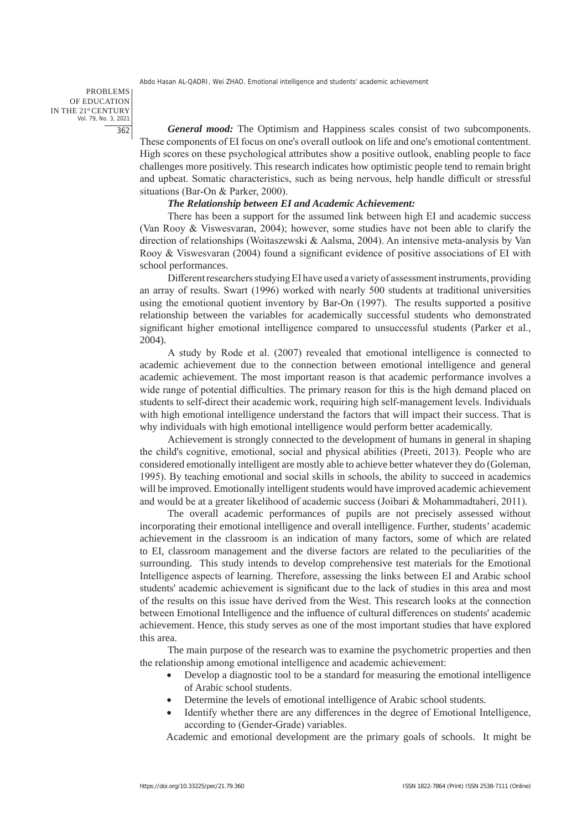PROBLEMS OF EDUCATION IN THE 21st CENTURY Vol. 79, No. 3, 2021 362

*General mood:* The Optimism and Happiness scales consist of two subcomponents. These components of EI focus on one's overall outlook on life and one's emotional contentment. High scores on these psychological attributes show a positive outlook, enabling people to face challenges more positively. This research indicates how optimistic people tend to remain bright and upbeat. Somatic characteristics, such as being nervous, help handle difficult or stressful situations (Bar-On & Parker, 2000).

# *The Relationship between EI and Academic Achievement:*

There has been a support for the assumed link between high EI and academic success (Van Rooy & Viswesvaran, 2004); however, some studies have not been able to clarify the direction of relationships (Woitaszewski & Aalsma, 2004). An intensive meta-analysis by Van Rooy & Viswesvaran (2004) found a significant evidence of positive associations of EI with school performances.

Different researchers studying EI have used a variety of assessment instruments, providing an array of results. Swart (1996) worked with nearly 500 students at traditional universities using the emotional quotient inventory by Bar-On (1997). The results supported a positive relationship between the variables for academically successful students who demonstrated significant higher emotional intelligence compared to unsuccessful students (Parker et al., 2004).

A study by Rode et al. (2007) revealed that emotional intelligence is connected to academic achievement due to the connection between emotional intelligence and general academic achievement. The most important reason is that academic performance involves a wide range of potential difficulties. The primary reason for this is the high demand placed on students to self-direct their academic work, requiring high self-management levels. Individuals with high emotional intelligence understand the factors that will impact their success. That is why individuals with high emotional intelligence would perform better academically.

Achievement is strongly connected to the development of humans in general in shaping the child's cognitive, emotional, social and physical abilities (Preeti, 2013). People who are considered emotionally intelligent are mostly able to achieve better whatever they do (Goleman, 1995). By teaching emotional and social skills in schools, the ability to succeed in academics will be improved. Emotionally intelligent students would have improved academic achievement and would be at a greater likelihood of academic success (Joibari & Mohammadtaheri, 2011).

The overall academic performances of pupils are not precisely assessed without incorporating their emotional intelligence and overall intelligence. Further, students' academic achievement in the classroom is an indication of many factors, some of which are related to EI, classroom management and the diverse factors are related to the peculiarities of the surrounding. This study intends to develop comprehensive test materials for the Emotional Intelligence aspects of learning. Therefore, assessing the links between EI and Arabic school students' academic achievement is significant due to the lack of studies in this area and most of the results on this issue have derived from the West. This research looks at the connection between Emotional Intelligence and the influence of cultural differences on students' academic achievement. Hence, this study serves as one of the most important studies that have explored this area.

The main purpose of the research was to examine the psychometric properties and then the relationship among emotional intelligence and academic achievement:

- Develop a diagnostic tool to be a standard for measuring the emotional intelligence of Arabic school students.
- Determine the levels of emotional intelligence of Arabic school students.
- Identify whether there are any differences in the degree of Emotional Intelligence, according to (Gender-Grade) variables.

Academic and emotional development are the primary goals of schools. It might be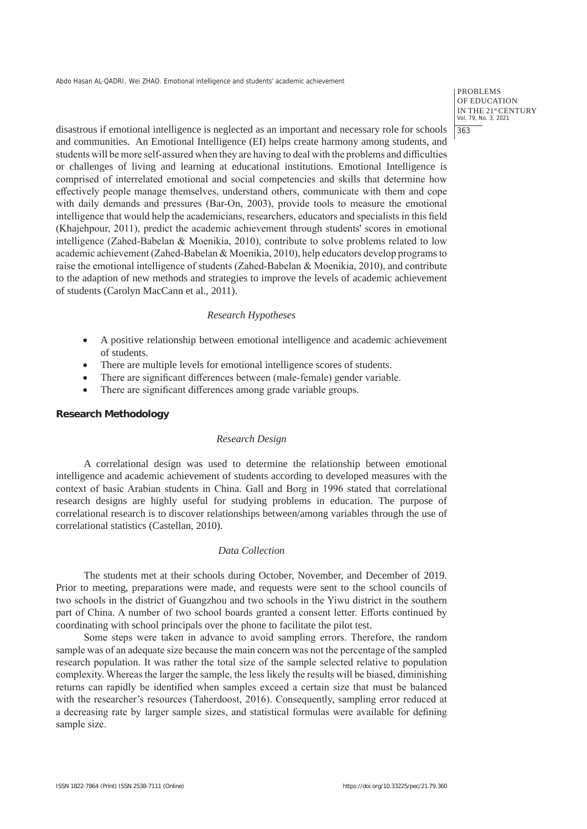PROBLEMS OF EDUCATION IN THE 21st CENTURY Vol. 79, No. 3, 2021 363

disastrous if emotional intelligence is neglected as an important and necessary role for schools and communities. An Emotional Intelligence (EI) helps create harmony among students, and students will be more self-assured when they are having to deal with the problems and difficulties or challenges of living and learning at educational institutions. Emotional Intelligence is comprised of interrelated emotional and social competencies and skills that determine how effectively people manage themselves, understand others, communicate with them and cope with daily demands and pressures (Bar-On, 2003), provide tools to measure the emotional intelligence that would help the academicians, researchers, educators and specialists in this field (Khajehpour, 2011), predict the academic achievement through students' scores in emotional intelligence (Zahed-Babelan & Moenikia, 2010), contribute to solve problems related to low academic achievement (Zahed-Babelan & Moenikia, 2010), help educators develop programs to raise the emotional intelligence of students (Zahed-Babelan & Moenikia, 2010), and contribute to the adaption of new methods and strategies to improve the levels of academic achievement of students (Carolyn MacCann et al., 2011).

# *Research Hypotheses*

- A positive relationship between emotional intelligence and academic achievement of students.
- There are multiple levels for emotional intelligence scores of students.
- There are significant differences between (male-female) gender variable.
- There are significant differences among grade variable groups.

# **Research Methodology**

#### *Research Design*

A correlational design was used to determine the relationship between emotional intelligence and academic achievement of students according to developed measures with the context of basic Arabian students in China. Gall and Borg in 1996 stated that correlational research designs are highly useful for studying problems in education. The purpose of correlational research is to discover relationships between/among variables through the use of correlational statistics (Castellan, 2010).

# *Data Collection*

The students met at their schools during October, November, and December of 2019. Prior to meeting, preparations were made, and requests were sent to the school councils of two schools in the district of Guangzhou and two schools in the Yiwu district in the southern part of China. A number of two school boards granted a consent letter. Efforts continued by coordinating with school principals over the phone to facilitate the pilot test.

Some steps were taken in advance to avoid sampling errors. Therefore, the random sample was of an adequate size because the main concern was not the percentage of the sampled research population. It was rather the total size of the sample selected relative to population complexity. Whereas the larger the sample, the less likely the results will be biased, diminishing returns can rapidly be identified when samples exceed a certain size that must be balanced with the researcher's resources (Taherdoost, 2016). Consequently, sampling error reduced at a decreasing rate by larger sample sizes, and statistical formulas were available for defining sample size.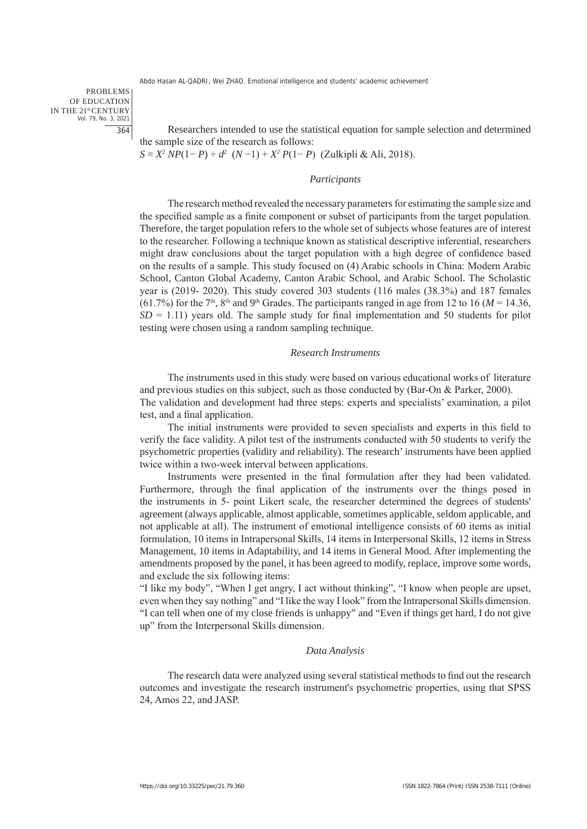PROBLEMS OF EDUCATION IN THE 21st CENTURY Vol. 79, No. 3, 2021 364

Researchers intended to use the statistical equation for sample selection and determined the sample size of the research as follows:

*S* = *X2 NP*(1− *P*) ÷ *d2* (*N* −1) + *X2 P*(1− *P*) (Zulkipli & Ali, 2018).

#### *Participants*

The research method revealed the necessary parameters for estimating the sample size and the specified sample as a finite component or subset of participants from the target population. Therefore, the target population refers to the whole set of subjects whose features are of interest to the researcher. Following a technique known as statistical descriptive inferential, researchers might draw conclusions about the target population with a high degree of confidence based on the results of a sample. This study focused on (4) Arabic schools in China: Modern Arabic School, Canton Global Academy, Canton Arabic School, and Arabic School. The Scholastic year is (2019- 2020). This study covered 303 students (116 males (38.3%) and 187 females (61.7%) for the 7<sup>th</sup>, 8<sup>th</sup> and 9<sup>th</sup> Grades. The participants ranged in age from 12 to 16 ( $M = 14.36$ ,  $SD = 1.11$ ) years old. The sample study for final implementation and 50 students for pilot testing were chosen using a random sampling technique.

#### *Research Instruments*

The instruments used in this study were based on various educational works of literature and previous studies on this subject, such as those conducted by (Bar-On & Parker, 2000). The validation and development had three steps: experts and specialists' examination, a pilot test, and a final application.

The initial instruments were provided to seven specialists and experts in this field to verify the face validity. A pilot test of the instruments conducted with 50 students to verify the psychometric properties (validity and reliability). The research' instruments have been applied twice within a two-week interval between applications.

Instruments were presented in the final formulation after they had been validated. Furthermore, through the final application of the instruments over the things posed in the instruments in 5- point Likert scale, the researcher determined the degrees of students' agreement (always applicable, almost applicable, sometimes applicable, seldom applicable, and not applicable at all). The instrument of emotional intelligence consists of 60 items as initial formulation, 10 items in Intrapersonal Skills, 14 items in Interpersonal Skills, 12 items in Stress Management, 10 items in Adaptability, and 14 items in General Mood. After implementing the amendments proposed by the panel, it has been agreed to modify, replace, improve some words, and exclude the six following items:

"I like my body", "When I get angry, I act without thinking", "I know when people are upset, even when they say nothing" and "I like the way I look" from the Intrapersonal Skills dimension. "I can tell when one of my close friends is unhappy" and "Even if things get hard, I do not give up" from the Interpersonal Skills dimension.

#### *Data Analysis*

The research data were analyzed using several statistical methods to find out the research outcomes and investigate the research instrument's psychometric properties, using that SPSS 24, Amos 22, and JASP.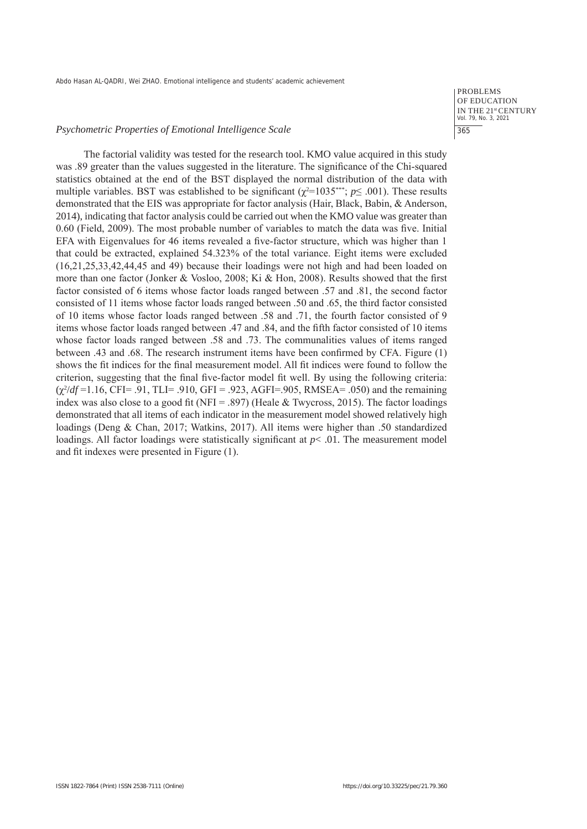#### *Psychometric Properties of Emotional Intelligence Scale*

PROBLEMS OF EDUCATION IN THE 21st CENTURY Vol. 79, No. 3, 2021 365

The factorial validity was tested for the research tool. KMO value acquired in this study was .89 greater than the values suggested in the literature. The significance of the Chi-squared statistics obtained at the end of the BST displayed the normal distribution of the data with multiple variables. BST was established to be significant  $(\chi^2=1035^{***}; p \le .001)$ . These results demonstrated that the EIS was appropriate for factor analysis (Hair, Black, Babin, & Anderson, 2014), indicating that factor analysis could be carried out when the KMO value was greater than 0.60 (Field, 2009). The most probable number of variables to match the data was five. Initial EFA with Eigenvalues for 46 items revealed a five-factor structure, which was higher than 1 that could be extracted, explained 54.323% of the total variance. Eight items were excluded (16,21,25,33,42,44,45 and 49) because their loadings were not high and had been loaded on more than one factor (Jonker & Vosloo, 2008; Ki & Hon, 2008). Results showed that the first factor consisted of 6 items whose factor loads ranged between .57 and .81, the second factor consisted of 11 items whose factor loads ranged between .50 and .65, the third factor consisted of 10 items whose factor loads ranged between .58 and .71, the fourth factor consisted of 9 items whose factor loads ranged between .47 and .84, and the fifth factor consisted of 10 items whose factor loads ranged between .58 and .73. The communalities values of items ranged between .43 and .68. The research instrument items have been confirmed by CFA. Figure (1) shows the fit indices for the final measurement model. All fit indices were found to follow the criterion, suggesting that the final five-factor model fit well. By using the following criteria: (χ<sup>2</sup> /*df* =1.16, CFI= .91, TLI= .910, GFI = .923, AGFI=.905, RMSEA= .050) and the remaining index was also close to a good fit (NFI = .897) (Heale & Twycross, 2015). The factor loadings demonstrated that all items of each indicator in the measurement model showed relatively high loadings (Deng & Chan, 2017; Watkins, 2017). All items were higher than .50 standardized loadings. All factor loadings were statistically significant at  $p < .01$ . The measurement model and fit indexes were presented in Figure (1).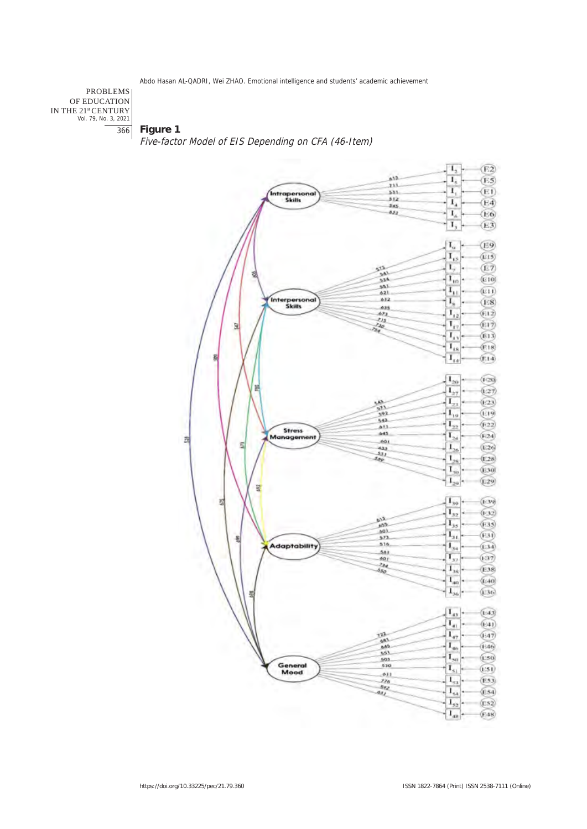PROBLEMS OF EDUCATION IN THE 21stCENTURY Vol. 79, No. 3, 2021 366

**Figure 1**

Five-factor Model of EIS Depending on CFA (46-Item)

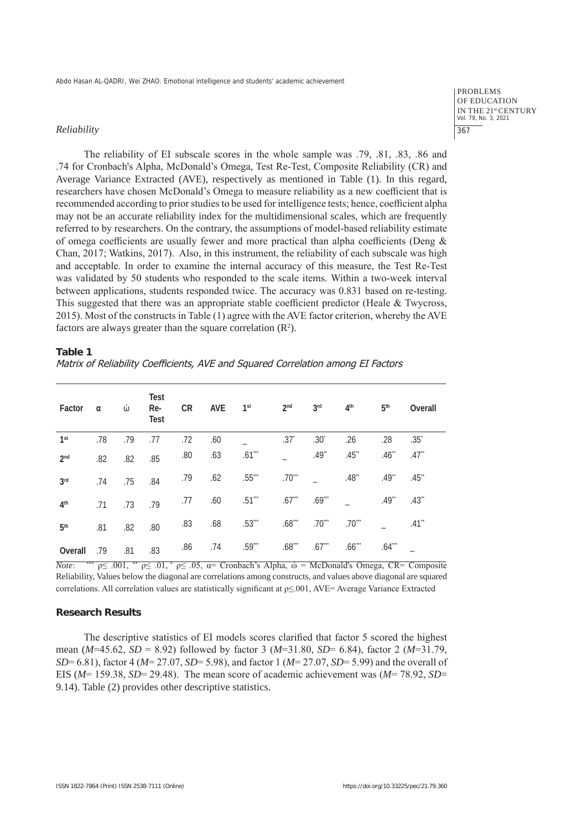#### *Reliability*

OF EDUCATION IN THE 21st CENTURY Vol. 79, No. 3, 2021 367

PROBLEMS

The reliability of EI subscale scores in the whole sample was .79, .81, .83, .86 and .74 for Cronbach's Alpha, McDonald's Omega, Test Re-Test, Composite Reliability (CR) and Average Variance Extracted (AVE), respectively as mentioned in Table (1). In this regard, researchers have chosen McDonald's Omega to measure reliability as a new coefficient that is recommended according to prior studies to be used for intelligence tests; hence, coefficient alpha may not be an accurate reliability index for the multidimensional scales, which are frequently referred to by researchers. On the contrary, the assumptions of model-based reliability estimate of omega coefficients are usually fewer and more practical than alpha coefficients (Deng & Chan, 2017; Watkins, 2017). Also, in this instrument, the reliability of each subscale was high and acceptable. In order to examine the internal accuracy of this measure, the Test Re-Test was validated by 50 students who responded to the scale items. Within a two-week interval between applications, students responded twice. The accuracy was 0.831 based on re-testing. This suggested that there was an appropriate stable coefficient predictor (Heale & Twycross, 2015). Most of the constructs in Table (1) agree with the AVE factor criterion, whereby the AVE factors are always greater than the square correlation  $(R^2)$ .

#### **Table 1**

Matrix of Reliability Coefficients, AVE and Squared Correlation among EI Factors

| Factor          | α   | ώ   | <b>Test</b><br>Re-<br><b>Test</b> | CR  | $AVE$ $1st$ |          | 2 <sub>nd</sub>    | 3 <sup>rd</sup>  | 4 <sup>th</sup> | 5 <sup>th</sup>     | Overall             |
|-----------------|-----|-----|-----------------------------------|-----|-------------|----------|--------------------|------------------|-----------------|---------------------|---------------------|
| 1 <sup>st</sup> | .78 | .79 | .77                               | .72 | .60         |          | $.37*$             | .30 <sup>°</sup> | .26             | .28                 | .35 <sup>°</sup>    |
| 2 <sub>nd</sub> | .82 | .82 | .85                               | .80 | .63         | $.61***$ |                    | $.49**$          | $.45$ **        | $.46$ <sup>**</sup> | $.47$ <sup>**</sup> |
| 3 <sup>rd</sup> | .74 | .75 | .84                               | .79 | .62         | $.55***$ | $.70***$           |                  | $.48**$         | $.49$ <sup>**</sup> | .45                 |
| 4 <sup>th</sup> | .71 | .73 | .79                               | .77 | .60         | $.51***$ | $.67^{***}$ .69*** |                  |                 | $.49^{**}$          | $.43$ <sup>**</sup> |
| 5 <sup>th</sup> | .81 | .82 | .80                               | .83 | .68         | $.53***$ |                    | $.68***$ .70***  | $.70***$        |                     | $.41**$             |
| Overall         | .79 | .81 | .83                               | .86 | .74         | $.59***$ | $.68***$           | .67              | $.66***$        | $.64***$            |                     |

*Note*: \*\*\*  $p \leq .001$ , \*\*  $p \leq .01$ ,  $p \leq .05$ ,  $q =$  Cronbach's Alpha,  $\omega =$  McDonald's Omega, CR= Composite Reliability, Values below the diagonal are correlations among constructs, and values above diagonal are squared correlations. All correlation values are statistically significant at ρ≤.001, AVE= Average Variance Extracted

# **Research Results**

The descriptive statistics of EI models scores clarified that factor 5 scored the highest mean (*M*=45.62, *SD* = 8.92) followed by factor 3 (*M*=31.80, *SD*= 6.84), factor 2 (*M*=31.79, *SD*= 6.81), factor 4 (*M*= 27.07, *SD*= 5.98), and factor 1 (*M*= 27.07, *SD*= 5.99) and the overall of EIS (*M*= 159.38, *SD*= 29.48). The mean score of academic achievement was (*M*= 78.92, *SD*= 9.14). Table (2) provides other descriptive statistics.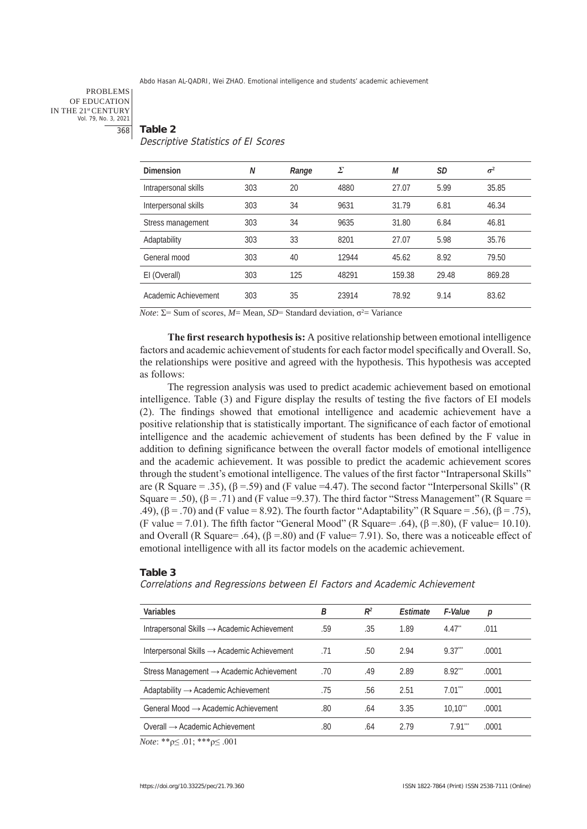#### PROBLEMS OF EDUCATION IN THE 21st CENTURY Vol. 79, No. 3, 2021 368

# **Table 2** Descriptive Statistics of EI Scores

| Dimension            | N   | Range | Σ     | М      | SD    | $\sigma^2$ |
|----------------------|-----|-------|-------|--------|-------|------------|
| Intrapersonal skills | 303 | 20    | 4880  | 27.07  | 5.99  | 35.85      |
| Interpersonal skills | 303 | 34    | 9631  | 31.79  | 6.81  | 46.34      |
| Stress management    | 303 | 34    | 9635  | 31.80  | 6.84  | 46.81      |
| Adaptability         | 303 | 33    | 8201  | 27.07  | 5.98  | 35.76      |
| General mood         | 303 | 40    | 12944 | 45.62  | 8.92  | 79.50      |
| EI (Overall)         | 303 | 125   | 48291 | 159.38 | 29.48 | 869.28     |
| Academic Achievement | 303 | 35    | 23914 | 78.92  | 9.14  | 83.62      |

*Note*: Σ= Sum of scores, *M*= Mean, *SD*= Standard deviation, σ<sup>2</sup>= Variance

**The first research hypothesis is:** A positive relationship between emotional intelligence factors and academic achievement of students for each factor model specifically and Overall. So, the relationships were positive and agreed with the hypothesis. This hypothesis was accepted as follows:

The regression analysis was used to predict academic achievement based on emotional intelligence. Table (3) and Figure display the results of testing the five factors of EI models (2). The findings showed that emotional intelligence and academic achievement have a positive relationship that is statistically important. The significance of each factor of emotional intelligence and the academic achievement of students has been defined by the F value in addition to defining significance between the overall factor models of emotional intelligence and the academic achievement. It was possible to predict the academic achievement scores through the student's emotional intelligence. The values of the first factor "Intrapersonal Skills" are (R Square = .35),  $(\beta = .59)$  and (F value =4.47). The second factor "Interpersonal Skills" (R Square = .50),  $(\beta = .71)$  and (F value =9.37). The third factor "Stress Management" (R Square = .49),  $(\beta = .70)$  and (F value = 8.92). The fourth factor "Adaptability" (R Square = .56),  $(\beta = .75)$ , (F value = 7.01). The fifth factor "General Mood" (R Square= .64),  $(\beta = .80)$ , (F value= 10.10). and Overall (R Square= .64),  $(\beta = 80)$  and (F value= 7.91). So, there was a noticeable effect of emotional intelligence with all its factor models on the academic achievement.

#### **Table 3**

Correlations and Regressions between EI Factors and Academic Achievement

| Variables                                               | В   | $R^2$ | <b>Fstimate</b> | F-Value               | р     |
|---------------------------------------------------------|-----|-------|-----------------|-----------------------|-------|
| Intrapersonal Skills $\rightarrow$ Academic Achievement | .59 | .35   | 1.89            | $4.47^{4}$            | .011  |
| Interpersonal Skills $\rightarrow$ Academic Achievement | .71 | .50   | 2.94            | $9.37$ <sup>""</sup>  | .0001 |
| Stress Management $\rightarrow$ Academic Achievement    | .70 | .49   | 2.89            | 8.92                  | .0001 |
| Adaptability $\rightarrow$ Academic Achievement         | .75 | .56   | 2.51            | $7.01$ <sup>***</sup> | .0001 |
| General Mood $\rightarrow$ Academic Achievement         | .80 | .64   | 3.35            | $10.10^{44}$          | .0001 |
| $Overall \rightarrow Academic$ Academic Achievement     | .80 | .64   | 2.79            | $7.91$ <sup>***</sup> | .0001 |

*Note*: \*\*ρ≤ .01; \*\*\*ρ≤ .001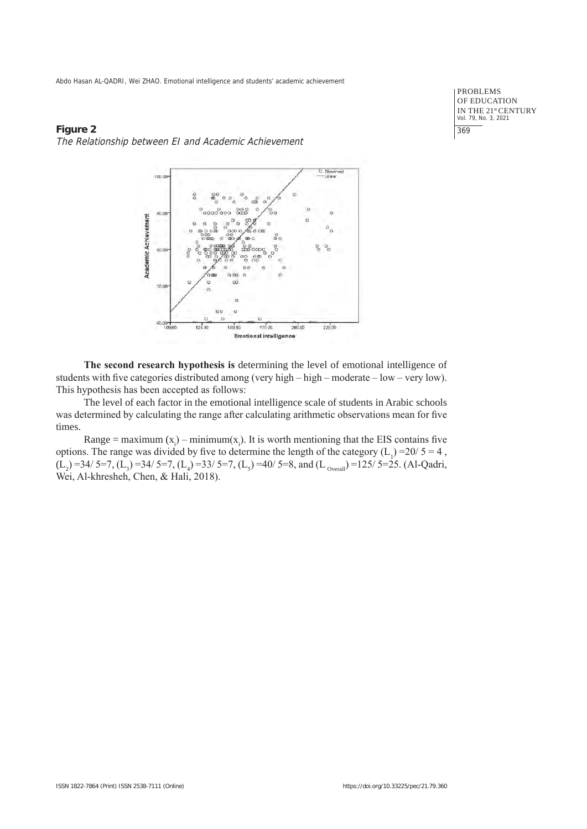PROBLEMS OF EDUCATION IN THE 21<sup>st</sup> CENTURY<br>Vol. 79, No. 3, 2021 369

# **Figure 2** The Relationship between EI and Academic Achievement



**The second research hypothesis is** determining the level of emotional intelligence of students with five categories distributed among (very high – high – moderate – low – very low). This hypothesis has been accepted as follows:

The level of each factor in the emotional intelligence scale of students in Arabic schools was determined by calculating the range after calculating arithmetic observations mean for five times.

Range = maximum  $(x_i)$  – minimum $(x_i)$ . It is worth mentioning that the EIS contains five options. The range was divided by five to determine the length of the category  $(L_1) = 20/5 = 4$ ,  $(L_2)$  =34/ 5=7,  $(L_3)$  =34/ 5=7,  $(L_4)$  =33/ 5=7,  $(L_5)$  =40/ 5=8, and  $(L_{\text{overall}})$  =125/ 5=25. (Al-Qadri, Wei, Al-khresheh, Chen, & Hali, 2018).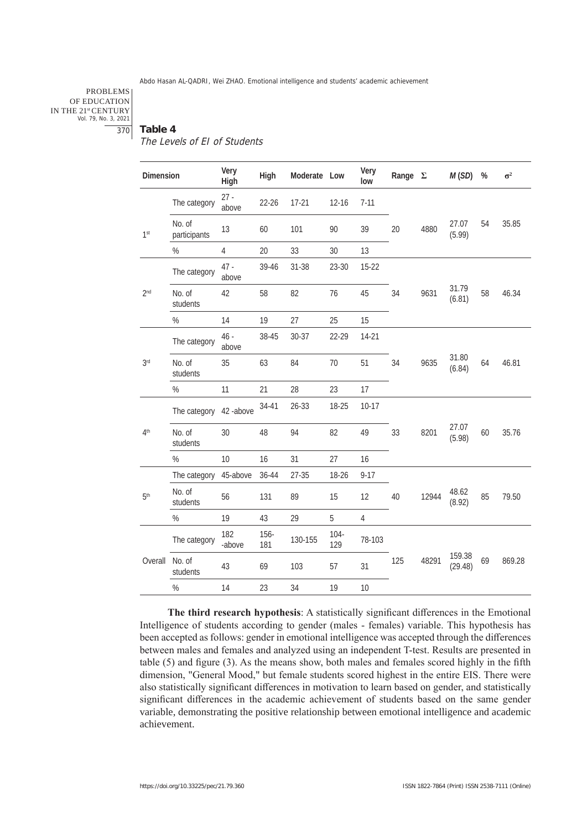#### PROBLEMS OF EDUCATION IN THE 21st CENTURY Vol. 79, No. 3, 2021

#### 370 **Table 4**

#### The Levels of EI of Students

| Dimension       |                        | Very<br>High    | High        | Moderate Low |                | Very<br>low    | Range $\Sigma$ |       | M(SD)             | %  | $\sigma^2$ |
|-----------------|------------------------|-----------------|-------------|--------------|----------------|----------------|----------------|-------|-------------------|----|------------|
|                 | The category           | $27 -$<br>above | $22 - 26$   | $17 - 21$    | $12 - 16$      | $7 - 11$       |                |       |                   |    |            |
| 1 <sup>st</sup> | No. of<br>participants | 13              | 60          | 101          | 90             | 39             | 20             | 4880  | 27.07<br>(5.99)   | 54 | 35.85      |
|                 | %                      | $\overline{4}$  | 20          | 33           | 30             | 13             |                |       |                   |    |            |
|                 | The category           | $47 -$<br>above | 39-46       | $31 - 38$    | 23-30          | $15-22$        |                |       |                   |    |            |
| 2 <sup>nd</sup> | No. of<br>students     | 42              | 58          | 82           | 76             | 45             | 34             | 9631  | 31.79<br>(6.81)   | 58 | 46.34      |
|                 | $\%$                   | 14              | 19          | 27           | 25             | 15             |                |       |                   |    |            |
|                 | The category           | $46 -$<br>above | 38-45       | $30 - 37$    | 22-29          | $14-21$        |                |       |                   |    |            |
| 3 <sup>rd</sup> | No. of<br>students     | 35              | 63          | 84           | 70             | 51             | 34             | 9635  | 31.80<br>(6.84)   | 64 | 46.81      |
|                 | $\%$                   | 11              | 21          | 28           | 23             | 17             |                |       |                   |    |            |
|                 | The category           | 42-above        | 34-41       | $26 - 33$    | 18-25          | $10-17$        |                |       |                   |    |            |
| 4 <sup>th</sup> | No. of<br>students     | 30              | 48          | 94           | 82             | 49             | 33             | 8201  | 27.07<br>(5.98)   | 60 | 35.76      |
|                 | $\%$                   | 10              | 16          | 31           | 27             | 16             |                |       |                   |    |            |
|                 | The category           | 45-above        | 36-44       | $27 - 35$    | 18-26          | $9 - 17$       |                |       |                   |    |            |
| 5 <sup>th</sup> | No. of<br>students     | 56              | 131         | 89           | 15             | 12             | 40             | 12944 | 48.62<br>(8.92)   | 85 | 79.50      |
|                 | $\%$                   | 19              | 43          | 29           | 5              | $\overline{4}$ |                |       |                   |    |            |
|                 | The category           | 182<br>-above   | 156-<br>181 | 130-155      | $104 -$<br>129 | 78-103         |                |       |                   |    |            |
| Overall         | No. of<br>students     | 43              | 69          | 103          | 57             | 31             | 125            | 48291 | 159.38<br>(29.48) | 69 | 869.28     |
|                 | $\%$                   | 14              | 23          | 34           | 19             | 10             |                |       |                   |    |            |

**The third research hypothesis**: A statistically significant differences in the Emotional Intelligence of students according to gender (males - females) variable. This hypothesis has been accepted as follows: gender in emotional intelligence was accepted through the differences between males and females and analyzed using an independent T-test. Results are presented in table (5) and figure (3). As the means show, both males and females scored highly in the fifth dimension, "General Mood," but female students scored highest in the entire EIS. There were also statistically significant differences in motivation to learn based on gender, and statistically significant differences in the academic achievement of students based on the same gender variable, demonstrating the positive relationship between emotional intelligence and academic achievement.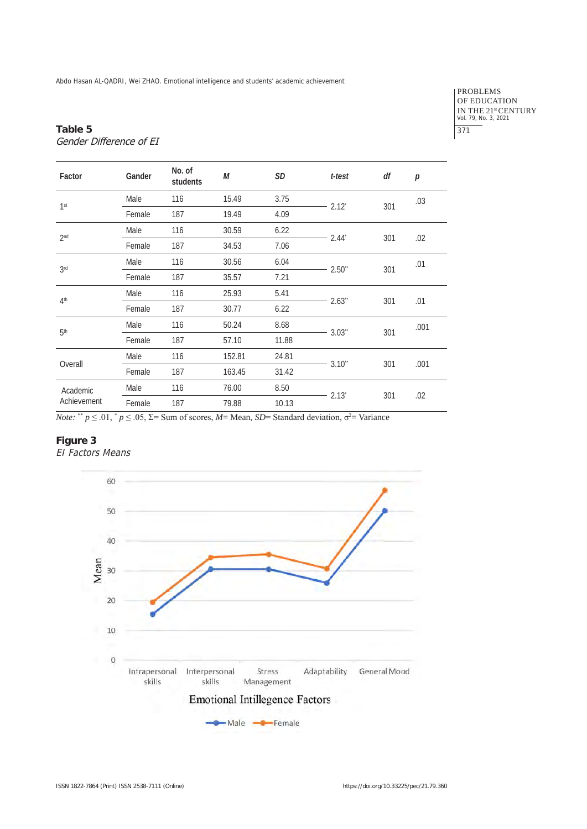PROBLEMS OF EDUCATION IN THE 21<sup>st</sup> CENTURY<br>Vol. 79, No. 3, 2021 371

# **Table 5** Gender Difference of EI

| Factor                  | Gander | No. of<br>students | М      | SD    | t-test               | df  | p    |
|-------------------------|--------|--------------------|--------|-------|----------------------|-----|------|
| 1 <sup>st</sup>         | Male   | 116                | 15.49  | 3.75  | $-2.12$ <sup>*</sup> | 301 | .03  |
|                         | Female | 187                | 19.49  | 4.09  |                      |     |      |
| 2 <sub>nd</sub>         | Male   | 116                | 30.59  | 6.22  | $-2.44$              | 301 |      |
|                         | Female | 187                | 34.53  | 7.06  |                      |     | .02  |
| 3rd                     | Male   | 116                | 30.56  | 6.04  | $2.50$ <sup>**</sup> | 301 | .01  |
|                         | Female | 187                | 35.57  | 7.21  |                      |     |      |
| 4 <sup>th</sup>         | Male   | 116                | 25.93  | 5.41  | $-2.63$              | 301 | .01  |
|                         | Female | 187                | 30.77  | 6.22  |                      |     |      |
| 5 <sup>th</sup>         | Male   | 116                | 50.24  | 8.68  | $-3.03$              |     | .001 |
|                         | Female | 187                | 57.10  | 11.88 |                      | 301 |      |
|                         | Male   | 116                | 152.81 | 24.81 | $-3.10$ "            |     |      |
| Overall                 | Female | 187                | 163.45 | 31.42 |                      | 301 | .001 |
| Academic<br>Achievement | Male   | 116                | 76.00  | 8.50  | $-2.13$              |     |      |
|                         | Female | 187                | 79.88  | 10.13 |                      | 301 | .02  |

*Note:* \*\*  $p \le 0.01$ , \*  $p \le 0.05$ ,  $\Sigma$ = Sum of scores, *M*= Mean, *SD*= Standard deviation,  $\sigma^2$ = Variance

# **Figure 3**

EI Factors Means

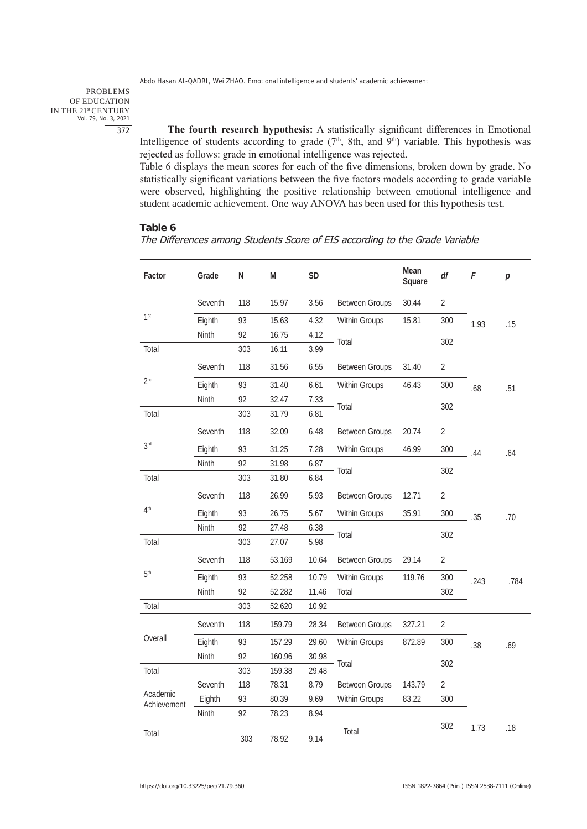PROBLEMS OF EDUCATION IN THE 21st CENTURY Vol. 79, No. 3, 2021 372

**The fourth research hypothesis:** A statistically significant differences in Emotional Intelligence of students according to grade  $(7<sup>th</sup>, 8th, and 9<sup>th</sup>)$  variable. This hypothesis was rejected as follows: grade in emotional intelligence was rejected.

Table 6 displays the mean scores for each of the five dimensions, broken down by grade. No statistically significant variations between the five factors models according to grade variable were observed, highlighting the positive relationship between emotional intelligence and student academic achievement. One way ANOVA has been used for this hypothesis test.

#### **Table 6**

The Differences among Students Score of EIS according to the Grade Variable

| Factor                  | Grade   | N   | M      | <b>SD</b> |                                | Mean<br>Square | df             | F    | р    |
|-------------------------|---------|-----|--------|-----------|--------------------------------|----------------|----------------|------|------|
|                         | Seventh | 118 | 15.97  | 3.56      | <b>Between Groups</b>          | 30.44          | $\overline{2}$ |      |      |
| 1 <sup>st</sup>         | Eighth  | 93  | 15.63  | 4.32      | Within Groups                  | 15.81          | 300            | 1.93 | .15  |
|                         | Ninth   | 92  | 16.75  | 4.12      | Total                          |                | 302            |      |      |
| Total                   |         | 303 | 16.11  | 3.99      |                                |                |                |      |      |
|                         | Seventh | 118 | 31.56  | 6.55      | 31.40<br><b>Between Groups</b> |                | $\overline{2}$ |      |      |
| 2 <sub>nd</sub>         | Eighth  | 93  | 31.40  | 6.61      | Within Groups                  | 46.43          | 300            | .68  | .51  |
|                         | Ninth   | 92  | 32.47  | 7.33      |                                |                | 302            |      |      |
| Total                   |         | 303 | 31.79  | 6.81      | Total                          |                |                |      |      |
|                         | Seventh | 118 | 32.09  | 6.48      | <b>Between Groups</b>          | 20.74          | 2              |      |      |
| 3rd                     | Eighth  | 93  | 31.25  | 7.28      | Within Groups                  | 46.99          | 300            | .44  | .64  |
|                         | Ninth   | 92  | 31.98  | 6.87      |                                |                |                |      |      |
| Total                   |         | 303 | 31.80  | 6.84      | Total                          |                | 302            |      |      |
| 4 <sup>th</sup>         | Seventh | 118 | 26.99  | 5.93      | Between Groups                 | 12.71          | $\overline{2}$ |      |      |
|                         | Eighth  | 93  | 26.75  | 5.67      | Within Groups                  | 35.91          | 300            | .35  | .70  |
|                         | Ninth   | 92  | 27.48  | 6.38      |                                |                |                |      |      |
| Total                   |         | 303 | 27.07  | 5.98      | Total                          |                | 302            |      |      |
|                         | Seventh | 118 | 53.169 | 10.64     | <b>Between Groups</b>          | 29.14          | $\overline{2}$ |      | .784 |
| 5 <sup>th</sup>         | Eighth  | 93  | 52.258 | 10.79     | Within Groups                  | 119.76         | 300            | .243 |      |
|                         | Ninth   | 92  | 52.282 | 11.46     | Total                          |                | 302            |      |      |
| Total                   |         | 303 | 52.620 | 10.92     |                                |                |                |      |      |
|                         | Seventh | 118 | 159.79 | 28.34     | <b>Between Groups</b>          | 327.21         | 2              |      |      |
| Overall                 | Eighth  | 93  | 157.29 | 29.60     | Within Groups                  | 872.89         | 300            | .38  | .69  |
|                         | Ninth   | 92  | 160.96 | 30.98     |                                |                | 302            |      |      |
| Total                   |         | 303 | 159.38 | 29.48     | Total                          |                |                |      |      |
|                         | Seventh | 118 | 78.31  | 8.79      | <b>Between Groups</b>          | 143.79         | $\overline{2}$ |      |      |
| Academic<br>Achievement | Eighth  | 93  | 80.39  | 9.69      | Within Groups                  | 83.22          | 300            |      |      |
|                         | Ninth   | 92  | 78.23  | 8.94      |                                |                |                |      |      |
| Total                   |         | 303 | 78.92  | 9.14      | Total                          |                | 302            | 1.73 | .18  |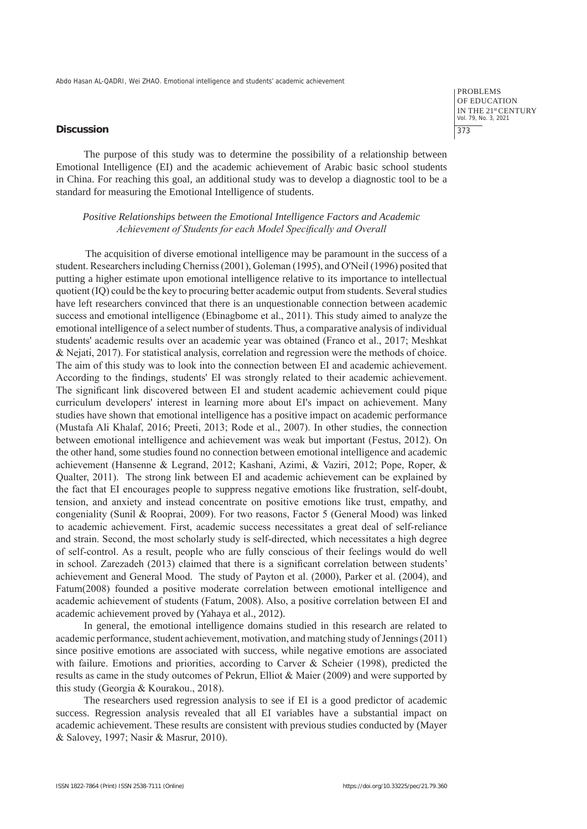#### **Discussion**

PROBLEMS OF EDUCATION IN THE 21st CENTURY Vol. 79, No. 3, 2021 373

The purpose of this study was to determine the possibility of a relationship between Emotional Intelligence (EI) and the academic achievement of Arabic basic school students in China. For reaching this goal, an additional study was to develop a diagnostic tool to be a standard for measuring the Emotional Intelligence of students.

# *Positive Relationships between the Emotional Intelligence Factors and Academic Achievement of Students for each Model Specifically and Overall*

The acquisition of diverse emotional intelligence may be paramount in the success of a student. Researchers including Cherniss (2001), Goleman (1995), and O'Neil (1996) posited that putting a higher estimate upon emotional intelligence relative to its importance to intellectual quotient (IQ) could be the key to procuring better academic output from students. Several studies have left researchers convinced that there is an unquestionable connection between academic success and emotional intelligence (Ebinagbome et al., 2011). This study aimed to analyze the emotional intelligence of a select number of students. Thus, a comparative analysis of individual students' academic results over an academic year was obtained (Franco et al., 2017; Meshkat & Nejati, 2017). For statistical analysis, correlation and regression were the methods of choice. The aim of this study was to look into the connection between EI and academic achievement. According to the findings, students' EI was strongly related to their academic achievement. The significant link discovered between EI and student academic achievement could pique curriculum developers' interest in learning more about EI's impact on achievement. Many studies have shown that emotional intelligence has a positive impact on academic performance (Mustafa Ali Khalaf, 2016; Preeti, 2013; Rode et al., 2007). In other studies, the connection between emotional intelligence and achievement was weak but important (Festus, 2012). On the other hand, some studies found no connection between emotional intelligence and academic achievement (Hansenne & Legrand, 2012; Kashani, Azimi, & Vaziri, 2012; Pope, Roper, & Qualter, 2011). The strong link between EI and academic achievement can be explained by the fact that EI encourages people to suppress negative emotions like frustration, self-doubt, tension, and anxiety and instead concentrate on positive emotions like trust, empathy, and congeniality (Sunil & Rooprai, 2009). For two reasons, Factor 5 (General Mood) was linked to academic achievement. First, academic success necessitates a great deal of self-reliance and strain. Second, the most scholarly study is self-directed, which necessitates a high degree of self-control. As a result, people who are fully conscious of their feelings would do well in school. Zarezadeh (2013) claimed that there is a significant correlation between students' achievement and General Mood. The study of Payton et al. (2000), Parker et al. (2004), and Fatum(2008) founded a positive moderate correlation between emotional intelligence and academic achievement of students (Fatum, 2008). Also, a positive correlation between EI and academic achievement proved by (Yahaya et al., 2012).

In general, the emotional intelligence domains studied in this research are related to academic performance, student achievement, motivation, and matching study of Jennings (2011) since positive emotions are associated with success, while negative emotions are associated with failure. Emotions and priorities, according to Carver & Scheier (1998), predicted the results as came in the study outcomes of Pekrun, Elliot & Maier (2009) and were supported by this study (Georgia & Kourakou., 2018).

The researchers used regression analysis to see if EI is a good predictor of academic success. Regression analysis revealed that all EI variables have a substantial impact on academic achievement. These results are consistent with previous studies conducted by (Mayer & Salovey, 1997; Nasir & Masrur, 2010).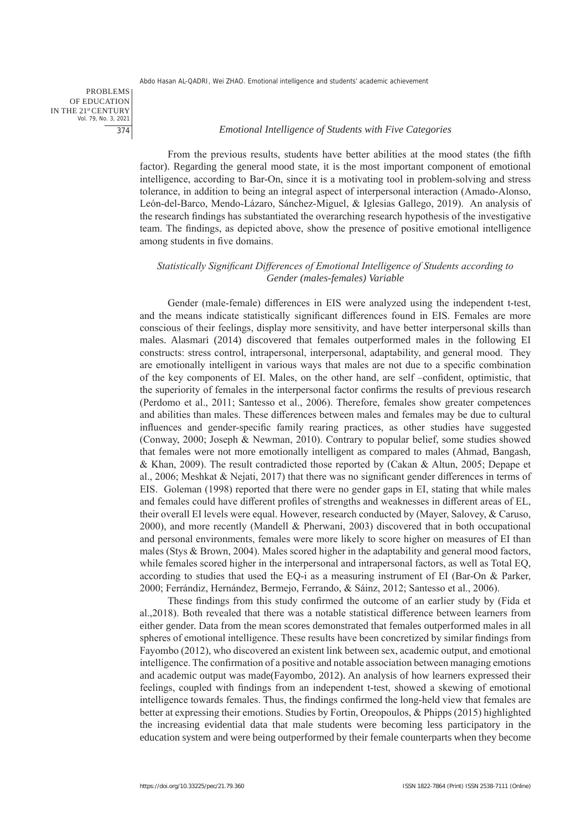PROBLEMS OF EDUCATION IN THE 21st CENTURY Vol. 79, No. 3, 2021 374

#### *Emotional Intelligence of Students with Five Categories*

From the previous results, students have better abilities at the mood states (the fifth factor). Regarding the general mood state, it is the most important component of emotional intelligence, according to Bar-On, since it is a motivating tool in problem-solving and stress tolerance, in addition to being an integral aspect of interpersonal interaction (Amado-Alonso, León-del-Barco, Mendo-Lázaro, Sánchez-Miguel, & Iglesias Gallego, 2019). An analysis of the research findings has substantiated the overarching research hypothesis of the investigative team. The findings, as depicted above, show the presence of positive emotional intelligence among students in five domains.

# *Statistically Significant Differences of Emotional Intelligence of Students according to Gender (males-females) Variable*

Gender (male-female) differences in EIS were analyzed using the independent t-test, and the means indicate statistically significant differences found in EIS. Females are more conscious of their feelings, display more sensitivity, and have better interpersonal skills than males. Alasmari (2014) discovered that females outperformed males in the following EI constructs: stress control, intrapersonal, interpersonal, adaptability, and general mood. They are emotionally intelligent in various ways that males are not due to a specific combination of the key components of EI. Males, on the other hand, are self –confident, optimistic, that the superiority of females in the interpersonal factor confirms the results of previous research (Perdomo et al., 2011; Santesso et al., 2006). Therefore, females show greater competences and abilities than males. These differences between males and females may be due to cultural influences and gender-specific family rearing practices, as other studies have suggested (Conway, 2000; Joseph & Newman, 2010). Contrary to popular belief, some studies showed that females were not more emotionally intelligent as compared to males (Ahmad, Bangash, & Khan, 2009). The result contradicted those reported by (Cakan & Altun, 2005; Depape et al., 2006; Meshkat & Nejati, 2017) that there was no significant gender differences in terms of EIS. Goleman (1998) reported that there were no gender gaps in EI, stating that while males and females could have different profiles of strengths and weaknesses in different areas of EL, their overall EI levels were equal. However, research conducted by (Mayer, Salovey, & Caruso, 2000), and more recently (Mandell & Pherwani, 2003) discovered that in both occupational and personal environments, females were more likely to score higher on measures of EI than males (Stys & Brown, 2004). Males scored higher in the adaptability and general mood factors, while females scored higher in the interpersonal and intrapersonal factors, as well as Total EQ, according to studies that used the EQ-i as a measuring instrument of EI (Bar-On & Parker, 2000; Ferrándiz, Hernández, Bermejo, Ferrando, & Sáinz, 2012; Santesso et al., 2006).

These findings from this study confirmed the outcome of an earlier study by (Fida et al.,2018). Both revealed that there was a notable statistical difference between learners from either gender. Data from the mean scores demonstrated that females outperformed males in all spheres of emotional intelligence. These results have been concretized by similar findings from Fayombo (2012), who discovered an existent link between sex, academic output, and emotional intelligence. The confirmation of a positive and notable association between managing emotions and academic output was made(Fayombo, 2012). An analysis of how learners expressed their feelings, coupled with findings from an independent t-test, showed a skewing of emotional intelligence towards females. Thus, the findings confirmed the long-held view that females are better at expressing their emotions. Studies by Fortin, Oreopoulos, & Phipps (2015) highlighted the increasing evidential data that male students were becoming less participatory in the education system and were being outperformed by their female counterparts when they become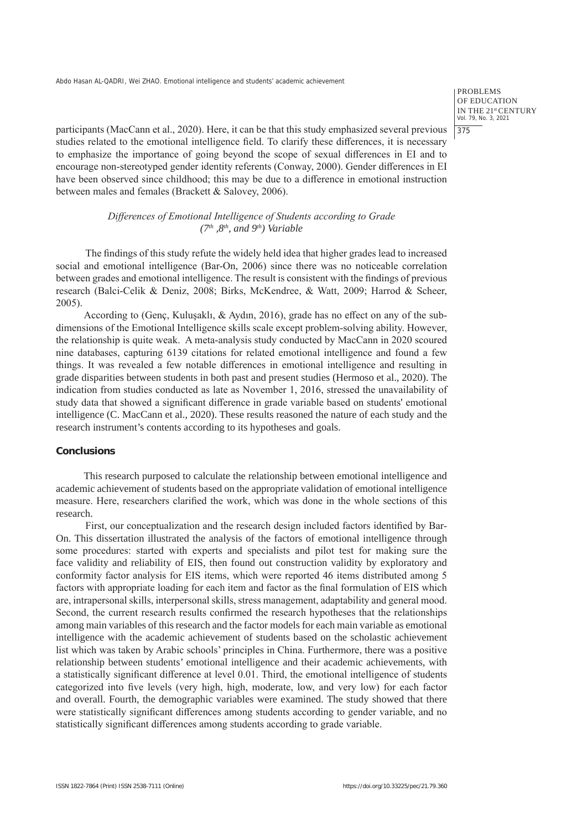PROBLEMS OF EDUCATION IN THE 21st CENTURY Vol. 79, No. 3, 2021 375

participants (MacCann et al., 2020). Here, it can be that this study emphasized several previous studies related to the emotional intelligence field. To clarify these differences, it is necessary to emphasize the importance of going beyond the scope of sexual differences in EI and to encourage non-stereotyped gender identity referents (Conway, 2000). Gender differences in EI have been observed since childhood; this may be due to a difference in emotional instruction between males and females (Brackett & Salovey, 2006).

> *Differences of Emotional Intelligence of Students according to Grade (7th ,8th, and 9th) Variable*

The findings of this study refute the widely held idea that higher grades lead to increased social and emotional intelligence (Bar-On, 2006) since there was no noticeable correlation between grades and emotional intelligence. The result is consistent with the findings of previous research (Balci-Celik & Deniz, 2008; Birks, McKendree, & Watt, 2009; Harrod & Scheer, 2005).

According to (Genç, Kuluşaklı, & Aydın, 2016), grade has no effect on any of the subdimensions of the Emotional Intelligence skills scale except problem-solving ability. However, the relationship is quite weak. A meta-analysis study conducted by MacCann in 2020 scoured nine databases, capturing 6139 citations for related emotional intelligence and found a few things. It was revealed a few notable differences in emotional intelligence and resulting in grade disparities between students in both past and present studies (Hermoso et al., 2020). The indication from studies conducted as late as November 1, 2016, stressed the unavailability of study data that showed a significant difference in grade variable based on students' emotional intelligence (C. MacCann et al., 2020). These results reasoned the nature of each study and the research instrument's contents according to its hypotheses and goals.

#### **Conclusions**

This research purposed to calculate the relationship between emotional intelligence and academic achievement of students based on the appropriate validation of emotional intelligence measure. Here, researchers clarified the work, which was done in the whole sections of this research.

First, our conceptualization and the research design included factors identified by Bar-On. This dissertation illustrated the analysis of the factors of emotional intelligence through some procedures: started with experts and specialists and pilot test for making sure the face validity and reliability of EIS, then found out construction validity by exploratory and conformity factor analysis for EIS items, which were reported 46 items distributed among 5 factors with appropriate loading for each item and factor as the final formulation of EIS which are, intrapersonal skills, interpersonal skills, stress management, adaptability and general mood. Second, the current research results confirmed the research hypotheses that the relationships among main variables of this research and the factor models for each main variable as emotional intelligence with the academic achievement of students based on the scholastic achievement list which was taken by Arabic schools' principles in China. Furthermore, there was a positive relationship between students' emotional intelligence and their academic achievements, with a statistically significant difference at level 0.01. Third, the emotional intelligence of students categorized into five levels (very high, high, moderate, low, and very low) for each factor and overall. Fourth, the demographic variables were examined. The study showed that there were statistically significant differences among students according to gender variable, and no statistically significant differences among students according to grade variable.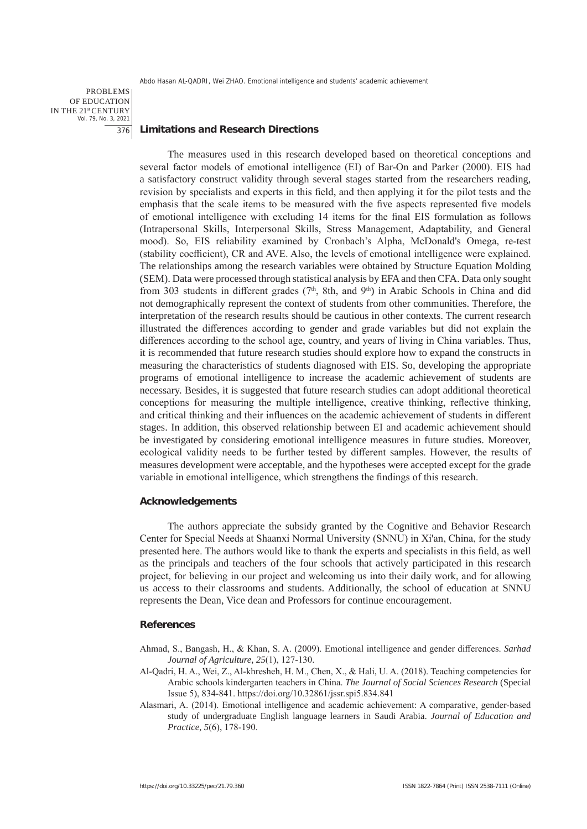PROBLEMS OF EDUCATION IN THE 21st CENTURY Vol. 79, No. 3, 2021 376

#### **Limitations and Research Directions**

The measures used in this research developed based on theoretical conceptions and several factor models of emotional intelligence (EI) of Bar-On and Parker (2000). EIS had a satisfactory construct validity through several stages started from the researchers reading, revision by specialists and experts in this field, and then applying it for the pilot tests and the emphasis that the scale items to be measured with the five aspects represented five models of emotional intelligence with excluding 14 items for the final EIS formulation as follows (Intrapersonal Skills, Interpersonal Skills, Stress Management, Adaptability, and General mood). So, EIS reliability examined by Cronbach's Alpha, McDonald's Omega, re-test (stability coefficient), CR and AVE. Also, the levels of emotional intelligence were explained. The relationships among the research variables were obtained by Structure Equation Molding (SEM). Data were processed through statistical analysis by EFA and then CFA. Data only sought from 303 students in different grades  $(7<sup>th</sup>, 8th, and 9<sup>th</sup>)$  in Arabic Schools in China and did not demographically represent the context of students from other communities. Therefore, the interpretation of the research results should be cautious in other contexts. The current research illustrated the differences according to gender and grade variables but did not explain the differences according to the school age, country, and years of living in China variables. Thus, it is recommended that future research studies should explore how to expand the constructs in measuring the characteristics of students diagnosed with EIS. So, developing the appropriate programs of emotional intelligence to increase the academic achievement of students are necessary. Besides, it is suggested that future research studies can adopt additional theoretical conceptions for measuring the multiple intelligence, creative thinking, reflective thinking, and critical thinking and their influences on the academic achievement of students in different stages. In addition, this observed relationship between EI and academic achievement should be investigated by considering emotional intelligence measures in future studies. Moreover, ecological validity needs to be further tested by different samples. However, the results of measures development were acceptable, and the hypotheses were accepted except for the grade variable in emotional intelligence, which strengthens the findings of this research.

# **Acknowledgements**

The authors appreciate the subsidy granted by the Cognitive and Behavior Research Center for Special Needs at Shaanxi Normal University (SNNU) in Xi'an, China, for the study presented here. The authors would like to thank the experts and specialists in this field, as well as the principals and teachers of the four schools that actively participated in this research project, for believing in our project and welcoming us into their daily work, and for allowing us access to their classrooms and students. Additionally, the school of education at SNNU represents the Dean, Vice dean and Professors for continue encouragement.

#### **References**

Ahmad, S., Bangash, H., & Khan, S. A. (2009). Emotional intelligence and gender differences. *Sarhad Journal of Agriculture*, *25*(1), 127-130.

- Al-Qadri, H. A., Wei, Z., Al-khresheh, H. M., Chen, X., & Hali, U. A. (2018). Teaching competencies for Arabic schools kindergarten teachers in China. *The Journal of Social Sciences Research* (Special Issue 5), 834-841. https://doi.org/10.32861/jssr.spi5.834.841
- Alasmari, A. (2014). Emotional intelligence and academic achievement: A comparative, gender-based study of undergraduate English language learners in Saudi Arabia. *Journal of Education and Practice*, *5*(6), 178-190.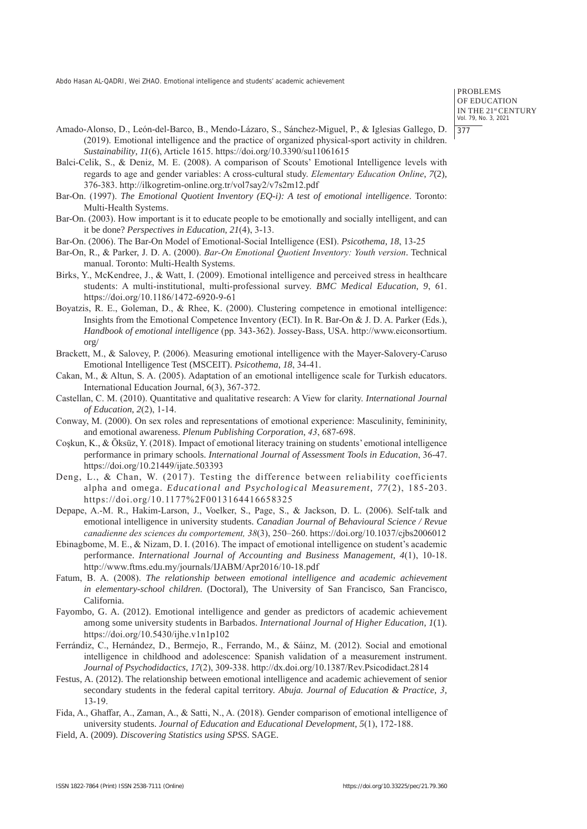PROBLEMS OF EDUCATION IN THE 21st CENTURY Vol. 79, No. 3, 2021 377

- Amado-Alonso, D., León-del-Barco, B., Mendo-Lázaro, S., Sánchez-Miguel, P., & Iglesias Gallego, D. (2019). Emotional intelligence and the practice of organized physical-sport activity in children. *Sustainability*, *11*(6), Article 1615. https://doi.org/10.3390/su11061615
- Balci-Celik, S., & Deniz, M. E. (2008). A comparison of Scouts' Emotional Intelligence levels with regards to age and gender variables: A cross-cultural study. *Elementary Education Online*, *7*(2), 376-383. http://ilkogretim-online.org.tr/vol7say2/v7s2m12.pdf
- Bar-On. (1997). *The Emotional Quotient Inventory (EQ-i): A test of emotional intelligence*. Toronto: Multi-Health Systems.
- Bar-On. (2003). How important is it to educate people to be emotionally and socially intelligent, and can it be done? *Perspectives in Education*, *21*(4), 3-13.
- Bar-On. (2006). The Bar-On Model of Emotional-Social Intelligence (ESI). *Psicothema*, *18*, 13-25
- Bar-On, R., & Parker, J. D. A. (2000). *Bar-On Emotional Quotient Inventory: Youth version*. Technical manual. Toronto: Multi-Health Systems.
- Birks, Y., McKendree, J., & Watt, I. (2009). Emotional intelligence and perceived stress in healthcare students: A multi-institutional, multi-professional survey. *BMC Medical Education*, *9*, 61. https://doi.org/10.1186/1472-6920-9-61
- Boyatzis, R. E., Goleman, D., & Rhee, K. (2000). Clustering competence in emotional intelligence: Insights from the Emotional Competence Inventory (ECI). In R. Bar-On & J. D. A. Parker (Eds.), *Handbook of emotional intelligence* (pp. 343-362). Jossey-Bass, USA. http://www.eiconsortium. org/
- Brackett, M., & Salovey, P. (2006). Measuring emotional intelligence with the Mayer-Salovery-Caruso Emotional Intelligence Test (MSCEIT). *Psicothema*, *18*, 34-41.
- Cakan, M., & Altun, S. A. (2005). Adaptation of an emotional intelligence scale for Turkish educators. International Education Journal, 6(3), 367-372.
- Castellan, C. M. (2010). Quantitative and qualitative research: A View for clarity. *International Journal of Education*, *2*(2), 1-14.
- Conway, M. (2000). On sex roles and representations of emotional experience: Masculinity, femininity, and emotional awareness. *Plenum Publishing Corporation*, *43*, 687-698.
- Coşkun, K., & Öksüz, Y. (2018). Impact of emotional literacy training on students' emotional intelligence performance in primary schools. *International Journal of Assessment Tools in Education*, 36-47. https://doi.org/10.21449/ijate.503393
- Deng, L., & Chan, W. (2017). Testing the difference between reliability coefficients alpha and omega. *Educational and Psychological Measurement*, *77*(2), 185-203. https://doi.org/10.1177%2F0013164416658325
- Depape, A.-M. R., Hakim-Larson, J., Voelker, S., Page, S., & Jackson, D. L. (2006). Self-talk and emotional intelligence in university students. *Canadian Journal of Behavioural Science / Revue canadienne des sciences du comportement, 38*(3), 250–260. https://doi.org/10.1037/cjbs2006012
- Ebinagbome, M. E., & Nizam, D. I. (2016). The impact of emotional intelligence on student's academic performance. *International Journal of Accounting and Business Management*, *4*(1), 10-18. http://www.ftms.edu.my/journals/IJABM/Apr2016/10-18.pdf
- Fatum, B. A. (2008). *The relationship between emotional intelligence and academic achievement in elementary-school children*. (Doctoral), The University of San Francisco, San Francisco, California.
- Fayombo, G. A. (2012). Emotional intelligence and gender as predictors of academic achievement among some university students in Barbados. *International Journal of Higher Education*, *1*(1). https://doi.org/10.5430/ijhe.v1n1p102
- Ferrándiz, C., Hernández, D., Bermejo, R., Ferrando, M., & Sáinz, M. (2012). Social and emotional intelligence in childhood and adolescence: Spanish validation of a measurement instrument. *Journal of Psychodidactics*, *17*(2), 309-338. http://dx.doi.org/10.1387/Rev.Psicodidact.2814
- Festus, A. (2012). The relationship between emotional intelligence and academic achievement of senior secondary students in the federal capital territory. *Abuja. Journal of Education & Practice*, *3*, 13-19.
- Fida, A., Ghaffar, A., Zaman, A., & Satti, N., A. (2018). Gender comparison of emotional intelligence of university students. *Journal of Education and Educational Development*, *5*(1), 172-188.
- Field, A. (2009). *Discovering Statistics using SPSS*. SAGE.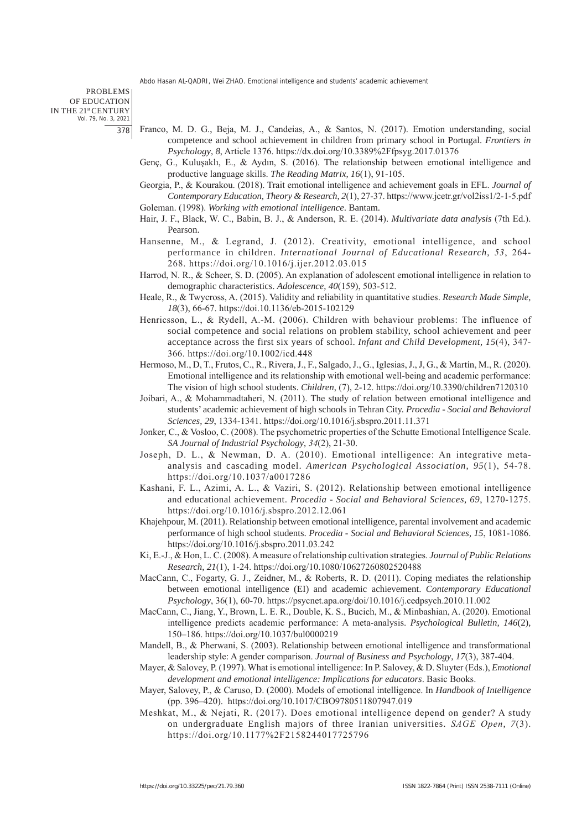PROBLEMS OF EDUCATION IN THE 21st CENTURY Vol. 79, No. 3, 2021 378

- Franco, M. D. G., Beja, M. J., Candeias, A., & Santos, N. (2017). Emotion understanding, social competence and school achievement in children from primary school in Portugal. *Frontiers in Psychology*, *8*, Article 1376. https://dx.doi.org/10.3389%2Ffpsyg.2017.01376
- Genç, G., Kuluşaklı, E., & Aydın, S. (2016). The relationship between emotional intelligence and productive language skills. *The Reading Matrix*, *16*(1), 91-105.
- Georgia, P., & Kourakou. (2018). Trait emotional intelligence and achievement goals in EFL. *Journal of Contemporary Education, Theory & Research*, *2*(1), 27-37. https://www.jcetr.gr/vol2iss1/2-1-5.pdf Goleman. (1998). *Working with emotional intelligence*. Bantam.
- Hair, J. F., Black, W. C., Babin, B. J., & Anderson, R. E. (2014). *Multivariate data analysis* (7th Ed.). Pearson.
- Hansenne, M., & Legrand, J. (2012). Creativity, emotional intelligence, and school performance in children. *International Journal of Educational Research*, *53*, 264- 268. https://doi.org/10.1016/j.ijer.2012.03.015
- Harrod, N. R., & Scheer, S. D. (2005). An explanation of adolescent emotional intelligence in relation to demographic characteristics. *Adolescence*, *40*(159), 503-512.
- Heale, R., & Twycross, A. (2015). Validity and reliability in quantitative studies. *Research Made Simple*, *18*(3), 66-67. https://doi.10.1136/eb-2015-102129
- Henricsson, L., & Rydell, A.-M. (2006). Children with behaviour problems: The influence of social competence and social relations on problem stability, school achievement and peer acceptance across the first six years of school. *Infant and Child Development*, *15*(4), 347- 366. https://doi.org/10.1002/icd.448
- Hermoso, M., D, T., Frutos, C., R., Rivera, J., F., Salgado, J., G., Iglesias, J., J, G., & Martín, M., R. (2020). Emotional intelligence and its relationship with emotional well-being and academic performance: The vision of high school students. *Children*, (7), 2-12. https://doi.org/10.3390/children7120310
- Joibari, A., & Mohammadtaheri, N. (2011). The study of relation between emotional intelligence and students' academic achievement of high schools in Tehran City. *Procedia - Social and Behavioral Sciences*, *29*, 1334-1341. https://doi.org/10.1016/j.sbspro.2011.11.371
- Jonker, C., & Vosloo, C. (2008). The psychometric properties of the Schutte Emotional Intelligence Scale. *SA Journal of Industrial Psychology*, *34*(2), 21-30.
- Joseph, D. L., & Newman, D. A. (2010). Emotional intelligence: An integrative metaanalysis and cascading model. *American Psychological Association*, *95*(1), 54-78. https://doi.org/10.1037/a0017286
- Kashani, F. L., Azimi, A. L., & Vaziri, S. (2012). Relationship between emotional intelligence and educational achievement. *Procedia - Social and Behavioral Sciences*, *69*, 1270-1275. https://doi.org/10.1016/j.sbspro.2012.12.061
- Khajehpour, M. (2011). Relationship between emotional intelligence, parental involvement and academic performance of high school students. *Procedia - Social and Behavioral Sciences*, *15*, 1081-1086. https://doi.org/10.1016/j.sbspro.2011.03.242
- Ki, E.-J., & Hon, L. C. (2008). A measure of relationship cultivation strategies. *Journal of Public Relations Research*, *21*(1), 1-24. https://doi.org/10.1080/10627260802520488
- MacCann, C., Fogarty, G. J., Zeidner, M., & Roberts, R. D. (2011). Coping mediates the relationship between emotional intelligence (EI) and academic achievement. *Contemporary Educational Psychology*, 36(1), 60-70. https://psycnet.apa.org/doi/10.1016/j.cedpsych.2010.11.002
- MacCann, C., Jiang, Y., Brown, L. E. R., Double, K. S., Bucich, M., & Minbashian, A. (2020). Emotional intelligence predicts academic performance: A meta-analysis. *Psychological Bulletin, 146*(2), 150–186. https://doi.org/10.1037/bul0000219
- Mandell, B., & Pherwani, S. (2003). Relationship between emotional intelligence and transformational leadership style: A gender comparison. *Journal of Business and Psychology*, *17*(3), 387-404.
- Mayer, & Salovey, P. (1997). What is emotional intelligence: In P. Salovey, & D. Sluyter (Eds.), *Emotional development and emotional intelligence: Implications for educators*. Basic Books.
- Mayer, Salovey, P., & Caruso, D. (2000). Models of emotional intelligence. In *Handbook of Intelligence* (pp. 396–420). https://doi.org/10.1017/CBO9780511807947.019
- Meshkat, M., & Nejati, R. (2017). Does emotional intelligence depend on gender? A study on undergraduate English majors of three Iranian universities. *SAGE Open*, *7*(3). https://doi.org/10.1177%2F2158244017725796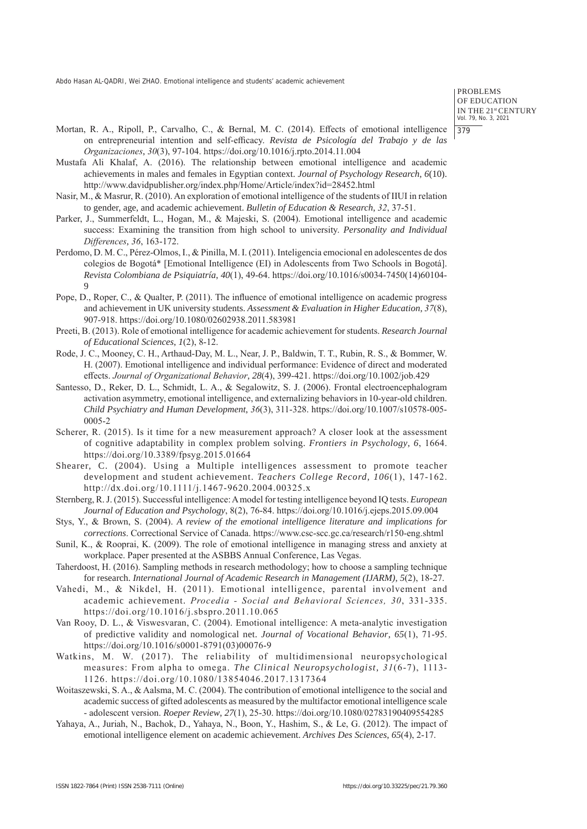PROBLEMS OF EDUCATION IN THE 21st CENTURY Vol. 79, No. 3, 2021 379

- Mortan, R. A., Ripoll, P., Carvalho, C., & Bernal, M. C. (2014). Effects of emotional intelligence on entrepreneurial intention and self-efficacy. *Revista de Psicología del Trabajo y de las Organizaciones*, *30*(3), 97-104. https://doi.org/10.1016/j.rpto.2014.11.004
- Mustafa Ali Khalaf, A. (2016). The relationship between emotional intelligence and academic achievements in males and females in Egyptian context. *Journal of Psychology Research*, *6*(10). http://www.davidpublisher.org/index.php/Home/Article/index?id=28452.html
- Nasir, M., & Masrur, R. (2010). An exploration of emotional intelligence of the students of IIUI in relation to gender, age, and academic achievement. *Bulletin of Education & Research*, *32*, 37-51.
- Parker, J., Summerfeldt, L., Hogan, M., & Majeski, S. (2004). Emotional intelligence and academic success: Examining the transition from high school to university. *Personality and Individual Differences*, *36*, 163-172.
- Perdomo, D. M. C., Pérez-Olmos, I., & Pinilla, M. I. (2011). Inteligencia emocional en adolescentes de dos colegios de Bogotá\* [Emotional Intelligence (EI) in Adolescents from Two Schools in Bogotá]. *Revista Colombiana de Psiquiatría*, *40*(1), 49-64. https://doi.org/10.1016/s0034-7450(14)60104- 9
- Pope, D., Roper, C., & Qualter, P. (2011). The influence of emotional intelligence on academic progress and achievement in UK university students. *Assessment & Evaluation in Higher Education*, *37*(8), 907-918. https://doi.org/10.1080/02602938.2011.583981
- Preeti, B. (2013). Role of emotional intelligence for academic achievement for students. *Research Journal of Educational Sciences*, *1*(2), 8-12.
- Rode, J. C., Mooney, C. H., Arthaud-Day, M. L., Near, J. P., Baldwin, T. T., Rubin, R. S., & Bommer, W. H. (2007). Emotional intelligence and individual performance: Evidence of direct and moderated effects. *Journal of Organizational Behavior*, *28*(4), 399-421. https://doi.org/10.1002/job.429
- Santesso, D., Reker, D. L., Schmidt, L. A., & Segalowitz, S. J. (2006). Frontal electroencephalogram activation asymmetry, emotional intelligence, and externalizing behaviors in 10-year-old children. *Child Psychiatry and Human Development*, *36*(3), 311-328. https://doi.org/10.1007/s10578-005- 0005-2
- Scherer, R. (2015). Is it time for a new measurement approach? A closer look at the assessment of cognitive adaptability in complex problem solving. *Frontiers in Psychology*, *6*, 1664. https://doi.org/10.3389/fpsyg.2015.01664
- Shearer, C. (2004). Using a Multiple intelligences assessment to promote teacher development and student achievement. *Teachers College Record*, *106*(1), 147-162. http://dx.doi.org/10.1111/j.1467-9620.2004.00325.x
- Sternberg, R. J. (2015). Successful intelligence: A model for testing intelligence beyond IQ tests. *European Journal of Education and Psychology*, 8(2), 76-84. https://doi.org/10.1016/j.ejeps.2015.09.004
- Stys, Y., & Brown, S. (2004). *A review of the emotional intelligence literature and implications for corrections*. Correctional Service of Canada. https://www.csc-scc.gc.ca/research/r150-eng.shtml
- Sunil, K., & Rooprai, K. (2009). The role of emotional intelligence in managing stress and anxiety at workplace. Paper presented at the ASBBS Annual Conference, Las Vegas.
- Taherdoost, H. (2016). Sampling methods in research methodology; how to choose a sampling technique for research. *International Journal of Academic Research in Management (IJARM)*, *5*(2), 18-27.
- Vahedi, M., & Nikdel, H. (2011). Emotional intelligence, parental involvement and academic achievement. *Procedia - Social and Behavioral Sciences, 30*, 331-335. https://doi.org/10.1016/j.sbspro.2011.10.065
- Van Rooy, D. L., & Viswesvaran, C. (2004). Emotional intelligence: A meta-analytic investigation of predictive validity and nomological net. *Journal of Vocational Behavior*, *65*(1), 71-95. https://doi.org/10.1016/s0001-8791(03)00076-9
- Watkins, M. W. (2017). The reliability of multidimensional neuropsychological measures: From alpha to omega. *The Clinical Neuropsychologist*, *31*(6-7), 1113- 1126. https://doi.org/10.1080/13854046.2017.1317364
- Woitaszewski, S. A., & Aalsma, M. C. (2004). The contribution of emotional intelligence to the social and academic success of gifted adolescents as measured by the multifactor emotional intelligence scale ‐ adolescent version. *Roeper Review*, *27*(1), 25-30. https://doi.org/10.1080/02783190409554285
- Yahaya, A., Juriah, N., Bachok, D., Yahaya, N., Boon, Y., Hashim, S., & Le, G. (2012). The impact of emotional intelligence element on academic achievement. *Archives Des Sciences*, *65*(4), 2-17.